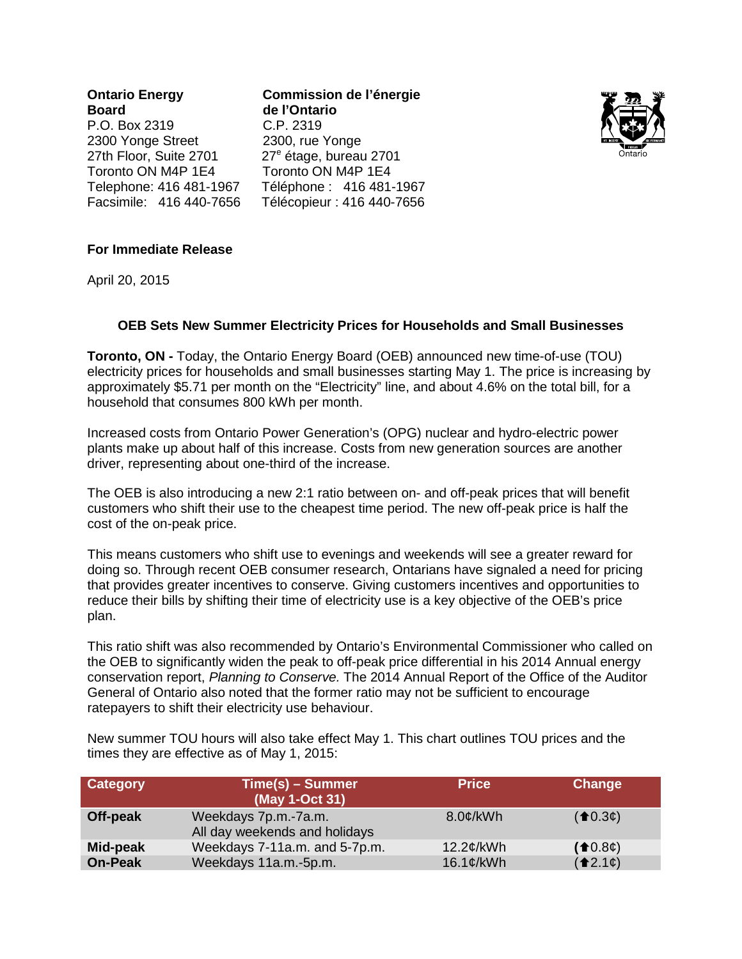**Ontario Energy Commission de l'énergie**  $P.$  O. Box 2319 2300 Yonge Street 2300, rue Yonge 27th Floor, Suite 2701 27<sup>e</sup> étage, bureau 2701 Toronto ON M4P 1E4 Toronto ON M4P 1E4

**de l'Ontario**<br>C.P. 2319 Telephone: 416 481-1967 Téléphone : 416 481-1967 Facsimile: 416 440-7656 Télécopieur : 416 440-7656



### **For Immediate Release**

April 20, 2015

# **OEB Sets New Summer Electricity Prices for Households and Small Businesses**

**Toronto, ON -** Today, the Ontario Energy Board (OEB) announced new time-of-use (TOU) electricity prices for households and small businesses starting May 1. The price is increasing by approximately \$5.71 per month on the "Electricity" line, and about 4.6% on the total bill, for a household that consumes 800 kWh per month.

Increased costs from Ontario Power Generation's (OPG) nuclear and hydro-electric power plants make up about half of this increase. Costs from new generation sources are another driver, representing about one-third of the increase.

The OEB is also introducing a new 2:1 ratio between on- and off-peak prices that will benefit customers who shift their use to the cheapest time period. The new off-peak price is half the cost of the on-peak price.

This means customers who shift use to evenings and weekends will see a greater reward for doing so. Through recent OEB consumer research, Ontarians have signaled a need for pricing that provides greater incentives to conserve. Giving customers incentives and opportunities to reduce their bills by shifting their time of electricity use is a key objective of the OEB's price plan.

This ratio shift was also recommended by Ontario's Environmental Commissioner who called on the OEB to significantly widen the peak to off-peak price differential in his 2014 Annual energy conservation report, *Planning to Conserve.* The 2014 Annual Report of the Office of the Auditor General of Ontario also noted that the former ratio may not be sufficient to encourage ratepayers to shift their electricity use behaviour.

New summer TOU hours will also take effect May 1. This chart outlines TOU prices and the times they are effective as of May 1, 2015:

| Category       | <mark>/Time(s) – Summer</mark><br>(May 1-Oct 31)      | <b>Price</b> | Change                                                                  |
|----------------|-------------------------------------------------------|--------------|-------------------------------------------------------------------------|
| Off-peak       | Weekdays 7p.m.-7a.m.<br>All day weekends and holidays | $8.0$ c/kWh  | $($ <b>f</b> $(0.3¢)$                                                   |
| Mid-peak       | Weekdays 7-11a.m. and 5-7p.m.                         | 12.2¢/kWh    | $($ <sup>1</sup> 0.8 $\phi$ )                                           |
| <b>On-Peak</b> | Weekdays 11a.m.-5p.m.                                 | 16.1¢/kWh    | $($ <sup><math>\triangle</math>2.1<math>\phi</math><math>)</math></sup> |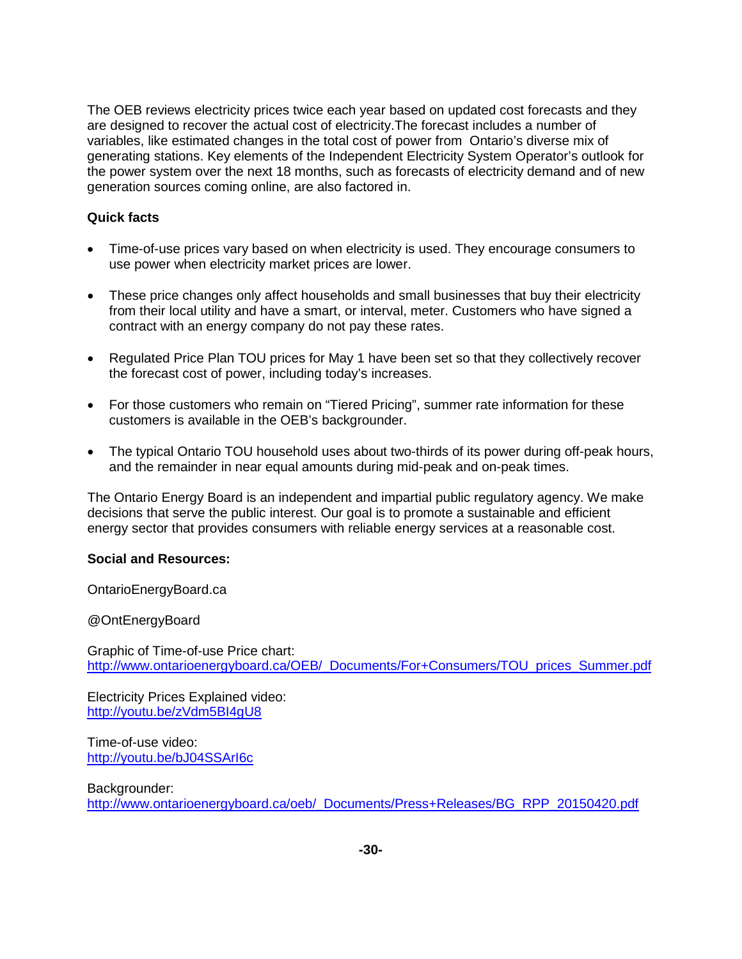The OEB reviews electricity prices twice each year based on updated cost forecasts and they are designed to recover the actual cost of electricity.The forecast includes a number of variables, like estimated changes in the total cost of power from Ontario's diverse mix of generating stations. Key elements of the Independent Electricity System Operator's outlook for the power system over the next 18 months, such as forecasts of electricity demand and of new generation sources coming online, are also factored in.

# **Quick facts**

- Time-of-use prices vary based on when electricity is used. They encourage consumers to use power when electricity market prices are lower.
- These price changes only affect households and small businesses that buy their electricity from their local utility and have a smart, or interval, meter. Customers who have signed a contract with an energy company do not pay these rates.
- Regulated Price Plan TOU prices for May 1 have been set so that they collectively recover the forecast cost of power, including today's increases.
- For those customers who remain on "Tiered Pricing", summer rate information for these customers is available in the OEB's backgrounder.
- The typical Ontario TOU household uses about two-thirds of its power during off-peak hours, and the remainder in near equal amounts during mid-peak and on-peak times.

The Ontario Energy Board is an independent and impartial public regulatory agency. We make decisions that serve the public interest. Our goal is to promote a sustainable and efficient energy sector that provides consumers with reliable energy services at a reasonable cost.

### **Social and Resources:**

OntarioEnergyBoard.ca

@OntEnergyBoard

Graphic of Time-of-use Price chart: [http://www.ontarioenergyboard.ca/OEB/\\_Documents/For+Consumers/TOU\\_prices\\_Summer.pdf](http://www.ontarioenergyboard.ca/OEB/_Documents/For+Consumers/TOU_prices_Summer.pdf)

Electricity Prices Explained video: <http://youtu.be/zVdm5BI4gU8>

Time-of-use video: <http://youtu.be/bJ04SSArI6c>

Backgrounder: [http://www.ontarioenergyboard.ca/oeb/\\_Documents/Press+Releases/BG\\_RPP\\_20150420.pdf](http://www.ontarioenergyboard.ca/oeb/_Documents/Press+Releases/BG_RPP_20150420.pdf)